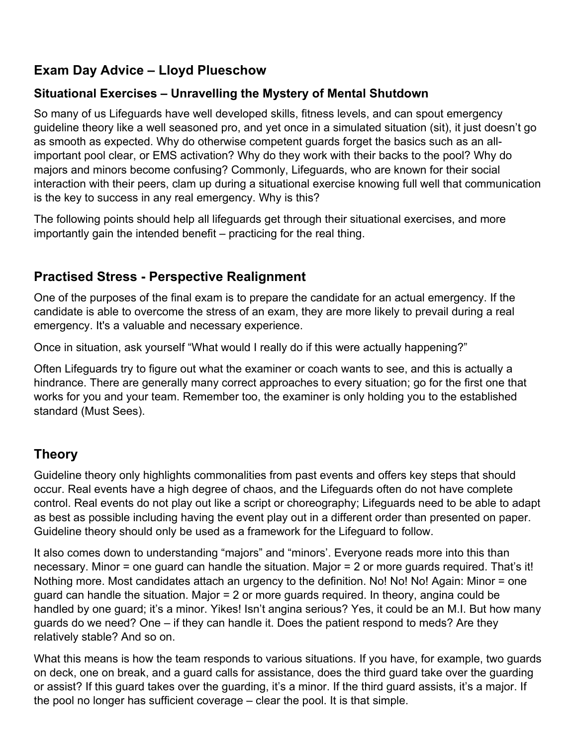## **Exam Day Advice – Lloyd Plueschow**

### **Situational Exercises – Unravelling the Mystery of Mental Shutdown**

So many of us Lifeguards have well developed skills, fitness levels, and can spout emergency guideline theory like a well seasoned pro, and yet once in a simulated situation (sit), it just doesn't go as smooth as expected. Why do otherwise competent guards forget the basics such as an allimportant pool clear, or EMS activation? Why do they work with their backs to the pool? Why do majors and minors become confusing? Commonly, Lifeguards, who are known for their social interaction with their peers, clam up during a situational exercise knowing full well that communication is the key to success in any real emergency. Why is this?

The following points should help all lifeguards get through their situational exercises, and more importantly gain the intended benefit – practicing for the real thing.

# **Practised Stress - Perspective Realignment**

One of the purposes of the final exam is to prepare the candidate for an actual emergency. If the candidate is able to overcome the stress of an exam, they are more likely to prevail during a real emergency. It's a valuable and necessary experience.

Once in situation, ask yourself "What would I really do if this were actually happening?"

Often Lifeguards try to figure out what the examiner or coach wants to see, and this is actually a hindrance. There are generally many correct approaches to every situation; go for the first one that works for you and your team. Remember too, the examiner is only holding you to the established standard (Must Sees).

# **Theory**

Guideline theory only highlights commonalities from past events and offers key steps that should occur. Real events have a high degree of chaos, and the Lifeguards often do not have complete control. Real events do not play out like a script or choreography; Lifeguards need to be able to adapt as best as possible including having the event play out in a different order than presented on paper. Guideline theory should only be used as a framework for the Lifeguard to follow.

It also comes down to understanding "majors" and "minors'. Everyone reads more into this than necessary. Minor = one guard can handle the situation. Major = 2 or more guards required. That's it! Nothing more. Most candidates attach an urgency to the definition. No! No! No! Again: Minor = one guard can handle the situation. Major = 2 or more guards required. In theory, angina could be handled by one guard; it's a minor. Yikes! Isn't angina serious? Yes, it could be an M.I. But how many guards do we need? One – if they can handle it. Does the patient respond to meds? Are they relatively stable? And so on.

What this means is how the team responds to various situations. If you have, for example, two guards on deck, one on break, and a guard calls for assistance, does the third guard take over the guarding or assist? If this guard takes over the guarding, it's a minor. If the third guard assists, it's a major. If the pool no longer has sufficient coverage – clear the pool. It is that simple.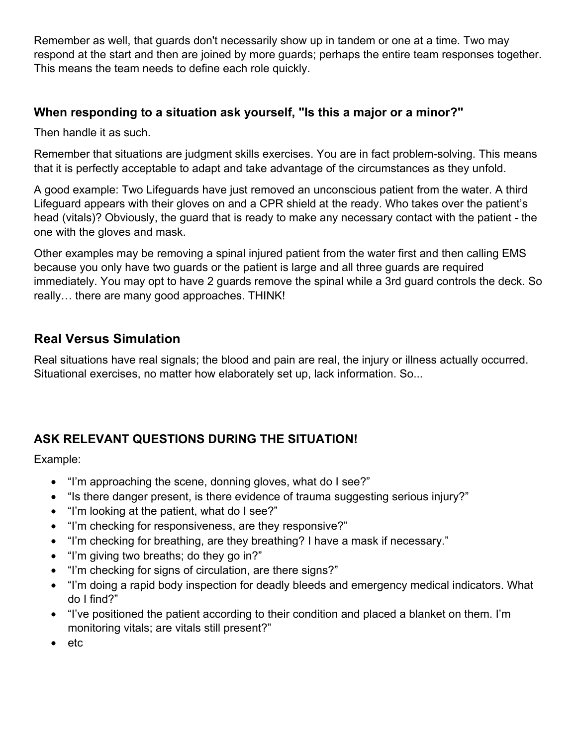Remember as well, that guards don't necessarily show up in tandem or one at a time. Two may respond at the start and then are joined by more guards; perhaps the entire team responses together. This means the team needs to define each role quickly.

#### **When responding to a situation ask yourself, "Is this a major or a minor?"**

Then handle it as such.

Remember that situations are judgment skills exercises. You are in fact problem-solving. This means that it is perfectly acceptable to adapt and take advantage of the circumstances as they unfold.

A good example: Two Lifeguards have just removed an unconscious patient from the water. A third Lifeguard appears with their gloves on and a CPR shield at the ready. Who takes over the patient's head (vitals)? Obviously, the guard that is ready to make any necessary contact with the patient - the one with the gloves and mask.

Other examples may be removing a spinal injured patient from the water first and then calling EMS because you only have two guards or the patient is large and all three guards are required immediately. You may opt to have 2 guards remove the spinal while a 3rd guard controls the deck. So really… there are many good approaches. THINK!

### **Real Versus Simulation**

Real situations have real signals; the blood and pain are real, the injury or illness actually occurred. Situational exercises, no matter how elaborately set up, lack information. So...

## **ASK RELEVANT QUESTIONS DURING THE SITUATION!**

Example:

- "I'm approaching the scene, donning gloves, what do I see?"
- "Is there danger present, is there evidence of trauma suggesting serious injury?"
- "I'm looking at the patient, what do I see?"
- "I'm checking for responsiveness, are they responsive?"
- "I'm checking for breathing, are they breathing? I have a mask if necessary."
- "I'm giving two breaths; do they go in?"
- "I'm checking for signs of circulation, are there signs?"
- "I'm doing a rapid body inspection for deadly bleeds and emergency medical indicators. What do I find?"
- "I've positioned the patient according to their condition and placed a blanket on them. I'm monitoring vitals; are vitals still present?"
- etc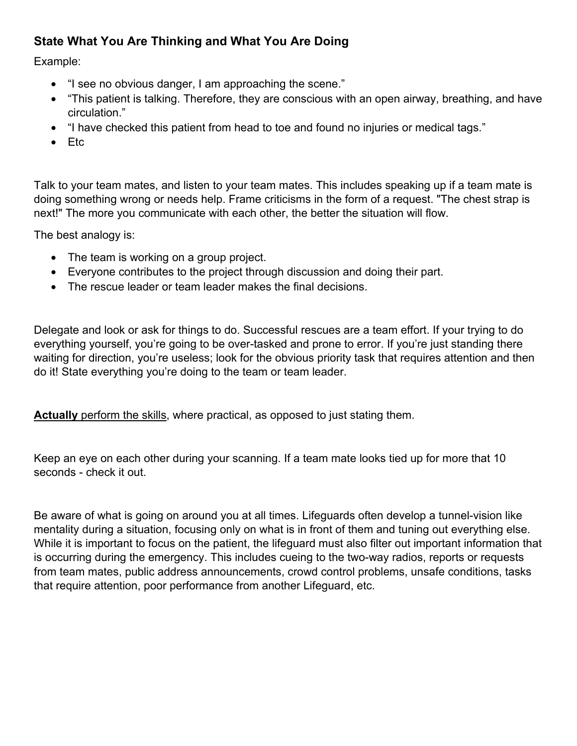### **State What You Are Thinking and What You Are Doing**

Example:

- "I see no obvious danger, I am approaching the scene."
- "This patient is talking. Therefore, they are conscious with an open airway, breathing, and have circulation."
- "I have checked this patient from head to toe and found no injuries or medical tags."
- Etc

Talk to your team mates, and listen to your team mates. This includes speaking up if a team mate is doing something wrong or needs help. Frame criticisms in the form of a request. "The chest strap is next!" The more you communicate with each other, the better the situation will flow.

The best analogy is:

- The team is working on a group project.
- Everyone contributes to the project through discussion and doing their part.
- The rescue leader or team leader makes the final decisions.

Delegate and look or ask for things to do. Successful rescues are a team effort. If your trying to do everything yourself, you're going to be over-tasked and prone to error. If you're just standing there waiting for direction, you're useless; look for the obvious priority task that requires attention and then do it! State everything you're doing to the team or team leader.

**Actually** perform the skills, where practical, as opposed to just stating them.

Keep an eye on each other during your scanning. If a team mate looks tied up for more that 10 seconds - check it out.

Be aware of what is going on around you at all times. Lifeguards often develop a tunnel-vision like mentality during a situation, focusing only on what is in front of them and tuning out everything else. While it is important to focus on the patient, the lifeguard must also filter out important information that is occurring during the emergency. This includes cueing to the two-way radios, reports or requests from team mates, public address announcements, crowd control problems, unsafe conditions, tasks that require attention, poor performance from another Lifeguard, etc.